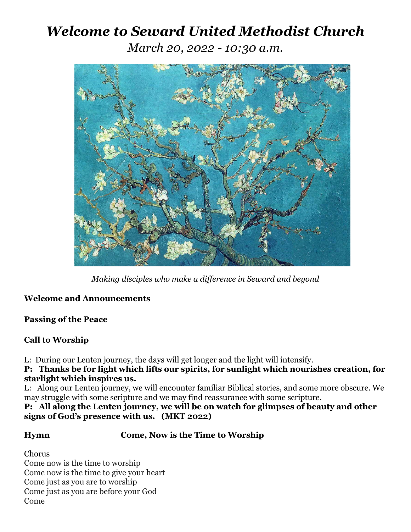# *Welcome to Seward United Methodist Church March 20, 2022 - 10:30 a.m.*



*Making disciples who make a difference in Seward and beyond*

# **Welcome and Announcements**

# **Passing of the Peace**

# **Call to Worship**

L: During our Lenten journey, the days will get longer and the light will intensify.

**P: Thanks be for light which lifts our spirits, for sunlight which nourishes creation, for starlight which inspires us.** 

L: Along our Lenten journey, we will encounter familiar Biblical stories, and some more obscure. We may struggle with some scripture and we may find reassurance with some scripture.

**P: All along the Lenten journey, we will be on watch for glimpses of beauty and other signs of God's presence with us. (MKT 2022)**

# **Hymn Come, Now is the Time to Worship**

### Chorus

Come now is the time to worship Come now is the time to give your heart Come just as you are to worship Come just as you are before your God Come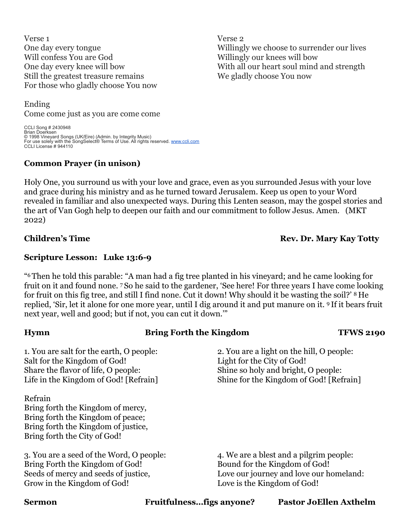Verse 1 Verse 2 Will confess You are God Willingly our knees will bow Still the greatest treasure remains We gladly choose You now For those who gladly choose You now

One day every tongue Willingly we choose to surrender our lives One day every knee will bow With all our heart soul mind and strength

Ending Come come just as you are come come

CCLI Song # 2430948 Brian Doerksen<br>© 1998 Vineyard Songs (UK/Eire) (Admin. by Integrity Music)<br>For use solely with the SongSelect® Terms of Use. All rights reserved. <u>www.ccli.com</u> CCLI License # 944110

### **Common Prayer (in unison)**

Holy One, you surround us with your love and grace, even as you surrounded Jesus with your love and grace during his ministry and as he turned toward Jerusalem. Keep us open to your Word revealed in familiar and also unexpected ways. During this Lenten season, may the gospel stories and the art of Van Gogh help to deepen our faith and our commitment to follow Jesus. Amen. (MKT 2022)

### **Children's Time Rev. Dr. Mary Kay Totty**

### **Scripture Lesson: Luke 13:6-9**

"6 Then he told this parable: "A man had a fig tree planted in his vineyard; and he came looking for fruit on it and found none. 7 So he said to the gardener, 'See here! For three years I have come looking for fruit on this fig tree, and still I find none. Cut it down! Why should it be wasting the soil?' 8 He replied, 'Sir, let it alone for one more year, until I dig around it and put manure on it. 9 If it bears fruit next year, well and good; but if not, you can cut it down.'"

| <b>Hymn</b>                                                                                                                                              | <b>Bring Forth the Kingdom</b> | <b>TFWS 2190</b>                                                                                                                                          |
|----------------------------------------------------------------------------------------------------------------------------------------------------------|--------------------------------|-----------------------------------------------------------------------------------------------------------------------------------------------------------|
| 1. You are salt for the earth, O people:<br>Salt for the Kingdom of God!<br>Share the flavor of life, O people:<br>Life in the Kingdom of God! [Refrain] |                                | 2. You are a light on the hill, O people:<br>Light for the City of God!<br>Shine so holy and bright, O people:<br>Shine for the Kingdom of God! [Refrain] |
| Refrain<br>Bring forth the Kingdom of mercy,<br>Bring forth the Kingdom of peace;<br>Bring forth the Kingdom of justice,<br>Bring forth the City of God! |                                |                                                                                                                                                           |
| 3. You are a seed of the Word, O people:<br>Bring Forth the Kingdom of God!<br>Seeds of mercy and seeds of justice,<br>Grow in the Kingdom of God!       |                                | 4. We are a blest and a pilgrim people:<br>Bound for the Kingdom of God!<br>Love our journey and love our homeland:<br>Love is the Kingdom of God!        |

**Sermon Fruitfulness…figs anyone? Pastor JoEllen Axthelm**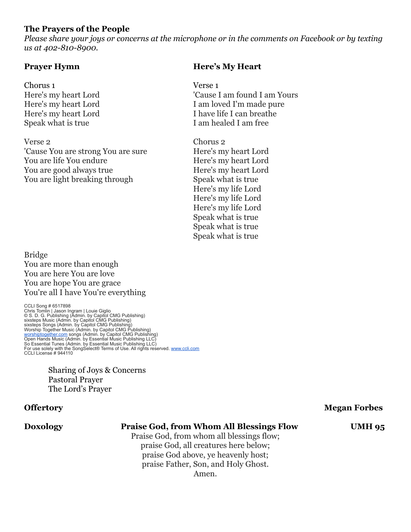# **The Prayers of the People**

*Please share your joys or concerns at the microphone or in the comments on Facebook or by texting us at 402-810-8900.*

Chorus 1 Verse 1 Speak what is true I am healed I am free

Verse 2 Chorus 2 'Cause You are strong You are sure Here's my heart Lord You are life You endure Here's my heart Lord You are good always true Here's my heart Lord You are light breaking through Speak what is true

### Bridge You are more than enough You are here You are love You are hope You are grace You're all I have You're everything

CCLI Song # 6517898 Chris Tomlin | Jason Ingram | Louie Giglio © S. D. G. Publishing (Admin. by Capitol CMG Publishing)<br>sixsteps Music (Admin. by Capitol CMG Publishing)<br>sixsteps Songs (Admin. by Capitol CMG Publishing)<br>Worship Together Music (Admin. by Capitol CMG Publishing)<br>Worship For use solely with the SongSelect® Terms of Use. All rights reserved. <u>www.ccli.com</u><br>CCLI License # 944110

> Sharing of Joys & Concerns Pastoral Prayer The Lord's Prayer

### **Prayer Hymn Here's My Heart**

Here's my heart Lord 'Cause I am found I am Yours Here's my heart Lord I'm made pure Here's my heart Lord I have life I can breathe

> Here's my life Lord Here's my life Lord Here's my life Lord Speak what is true Speak what is true Speak what is true

**Offertory Megan Forbes** Megan Forbes

### **Doxology Praise God, from Whom All Blessings Flow UMH 95**

Praise God, from whom all blessings flow; praise God, all creatures here below; praise God above, ye heavenly host; praise Father, Son, and Holy Ghost. Amen.